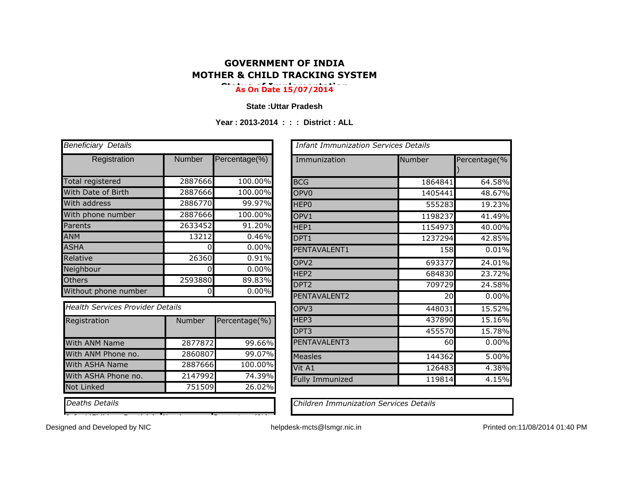## **GOVERNMENT OF INDIA MOTHER & CHILD TRACKING SYSTEM**

## **Status of Implementation As On Date 15/07/2014**

## **State :Uttar Pradesh**

**Year : 2013-2014 : : : District : ALL**

| <b>Beneficiary Details</b>              |               |               | <b>Infant Immunization Services Details</b>   |         |
|-----------------------------------------|---------------|---------------|-----------------------------------------------|---------|
| Registration                            | <b>Number</b> | Percentage(%) | Immunization                                  | Number  |
| <b>Total registered</b>                 | 2887666       | 100.00%       | <b>BCG</b>                                    | 1864841 |
| With Date of Birth                      | 2887666       | 100.00%       | OPV <sub>0</sub>                              | 1405441 |
| With address                            | 2886770       | 99.97%        | <b>HEPO</b>                                   | 555283  |
| With phone number                       | 2887666       | 100.00%       | OPV1                                          | 1198237 |
| Parents                                 | 2633452       | 91.20%        | HEP1                                          | 1154973 |
| <b>ANM</b>                              | 13212         | 0.46%         | DPT1                                          | 1237294 |
| <b>ASHA</b>                             | $\Omega$      | 0.00%         | PENTAVALENT1                                  | 158     |
| Relative                                | 26360         | 0.91%         | OPV <sub>2</sub>                              | 693377  |
| Neighbour                               | $\Omega$      | 0.00%         | HEP <sub>2</sub>                              | 684830  |
| Others                                  | 2593880       | 89.83%        | DPT <sub>2</sub>                              | 709729  |
| Without phone number                    | $\mathbf 0$   | 0.00%         | PENTAVALENT2                                  | 20      |
| <b>Health Services Provider Details</b> |               |               | OPV3                                          | 448031  |
| Registration                            | Number        | Percentage(%) | HEP3                                          | 437890  |
|                                         |               |               | DPT3                                          | 455570  |
| With ANM Name                           | 2877872       | 99.66%        | PENTAVALENT3                                  | 60      |
| With ANM Phone no.                      | 2860807       | 99.07%        | Measles                                       | 144362  |
| With ASHA Name                          | 2887666       | 100.00%       | Vit A1                                        | 126483  |
| With ASHA Phone no.                     | 2147992       | 74.39%        | <b>Fully Immunized</b>                        | 119814  |
| <b>Not Linked</b>                       | 751509        | 26.02%        |                                               |         |
| <b>Deaths Details</b>                   |               |               | <b>Children Immunization Services Details</b> |         |

Infant/Children Death(s) Number Percentage(%)

| <b>Beneficiary Details</b>              |               |               | <b>Infant Immunization Services Details</b> |         |              |
|-----------------------------------------|---------------|---------------|---------------------------------------------|---------|--------------|
| Registration                            | <b>Number</b> | Percentage(%) | Immunization                                | Number  | Percentage(% |
| Total registered                        | 2887666       | 100.00%       | <b>BCG</b>                                  | 1864841 | 64.58%       |
| With Date of Birth                      | 2887666       | 100.00%       | OPV <sub>0</sub>                            | 1405441 | 48.67%       |
| With address                            | 2886770       | 99.97%        | HEP <sub>0</sub>                            | 555283  | 19.23%       |
| With phone number                       | 2887666       | 100.00%       | OPV1                                        | 1198237 | 41.49%       |
| Parents                                 | 2633452       | 91.20%        | HEP1                                        | 1154973 | 40.00%       |
| <b>ANM</b>                              | 13212         | 0.46%         | DPT1                                        | 1237294 | 42.85%       |
| <b>ASHA</b>                             | n             | 0.00%         | PENTAVALENT1                                | 158     | 0.01%        |
| Relative                                | 26360         | 0.91%         | OPV <sub>2</sub>                            | 693377  | 24.01%       |
| Neighbour                               | $\Omega$      | 0.00%         | HEP <sub>2</sub>                            | 684830  | 23.72%       |
| <b>Others</b>                           | 2593880       | 89.83%        | DPT <sub>2</sub>                            | 709729  | 24.58%       |
| Without phone number                    | 0             | 0.00%         | PENTAVALENT2                                | 20      | 0.00%        |
| <b>Health Services Provider Details</b> |               |               | OPV3                                        | 448031  | 15.52%       |
| Registration                            | <b>Number</b> | Percentage(%) | HEP3                                        | 437890  | 15.16%       |
|                                         |               |               | DPT3                                        | 455570  | 15.78%       |
| <b>With ANM Name</b>                    | 2877872       | 99.66%        | PENTAVALENT3                                | 60      | 0.00%        |
| With ANM Phone no.                      | 2860807       | 99.07%        | <b>Measles</b>                              | 144362  | 5.00%        |
| With ASHA Name                          | 2887666       | 100.00%       | Vit A1                                      | 126483  | 4.38%        |
| With ASHA Phone no.                     | 2147992       | 74.39%        | <b>Fully Immunized</b>                      | 119814  | 4.15%        |
|                                         | $- - - - - -$ |               |                                             |         |              |

*Deaths Details Children Immunization Services Details*

Designed and Developed by NIC **helpdesk-mcts@lsmgr.nic.in** Printed on:11/08/2014 01:40 PM